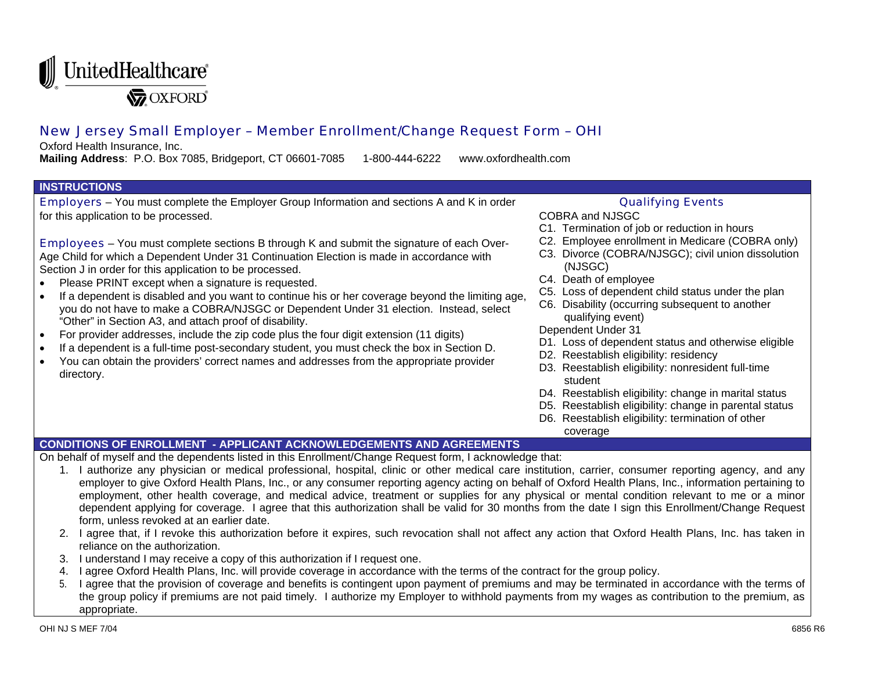

# New Jersey Small Employer – Member Enrollment/Change Request Form – OHI

Oxford Health Insurance, Inc.

**Mailing Address**: P.O. Box 7085, Bridgeport, CT 06601-7085 1-800-444-6222 www.oxfordhealth.com

#### **INSTRUCTIONS**

Employers – You must complete the Employer Group Information and sections A and K in order for this application to be processed.

Employees – You must complete sections B through K and submit the signature of each Over-Age Child for which a Dependent Under 31 Continuation Election is made in accordance with Section J in order for this application to be processed.

- Please PRINT except when a signature is requested.
- If a dependent is disabled and you want to continue his or her coverage beyond the limiting age, you do not have to make a COBRA/NJSGC or Dependent Under 31 election. Instead, select "Other" in Section A3, and attach proof of disability.
- For provider addresses, include the zip code plus the four digit extension (11 digits)
- If a dependent is a full-time post-secondary student, you must check the box in Section D.
- You can obtain the providers' correct names and addresses from the appropriate provider directory.

### Qualifying Events

COBRA and NJSGC

- C1. Termination of job or reduction in hours
- C2. Employee enrollment in Medicare (COBRA only)
- C3. Divorce (COBRA/NJSGC); civil union dissolution (NJSGC)
- C4. Death of employee
- C5. Loss of dependent child status under the plan
- C6. Disability (occurring subsequent to another qualifying event)

### Dependent Under 31

- D1. Loss of dependent status and otherwise eligible
- D2. Reestablish eligibility: residency
- D3. Reestablish eligibility: nonresident full-time student
- D4. Reestablish eligibility: change in marital status
- D5. Reestablish eligibility: change in parental status
- D6. Reestablish eligibility: termination of other coverage

## **CONDITIONS OF ENROLLMENT - APPLICANT ACKNOWLEDGEMENTS AND AGREEMENTS**

On behalf of myself and the dependents listed in this Enrollment/Change Request form, I acknowledge that:

- 1. I authorize any physician or medical professional, hospital, clinic or other medical care institution, carrier, consumer reporting agency, and any employer to give Oxford Health Plans, Inc., or any consumer reporting agency acting on behalf of Oxford Health Plans, Inc., information pertaining to employment, other health coverage, and medical advice, treatment or supplies for any physical or mental condition relevant to me or a minor dependent applying for coverage. I agree that this authorization shall be valid for 30 months from the date I sign this Enrollment/Change Request form, unless revoked at an earlier date.
- 2. I agree that, if I revoke this authorization before it expires, such revocation shall not affect any action that Oxford Health Plans, Inc. has taken in reliance on the authorization.
- 3. I understand I may receive a copy of this authorization if I request one.
- 4. I agree Oxford Health Plans, Inc. will provide coverage in accordance with the terms of the contract for the group policy.
- 5. I agree that the provision of coverage and benefits is contingent upon payment of premiums and may be terminated in accordance with the terms of the group policy if premiums are not paid timely. I authorize my Employer to withhold payments from my wages as contribution to the premium, as appropriate.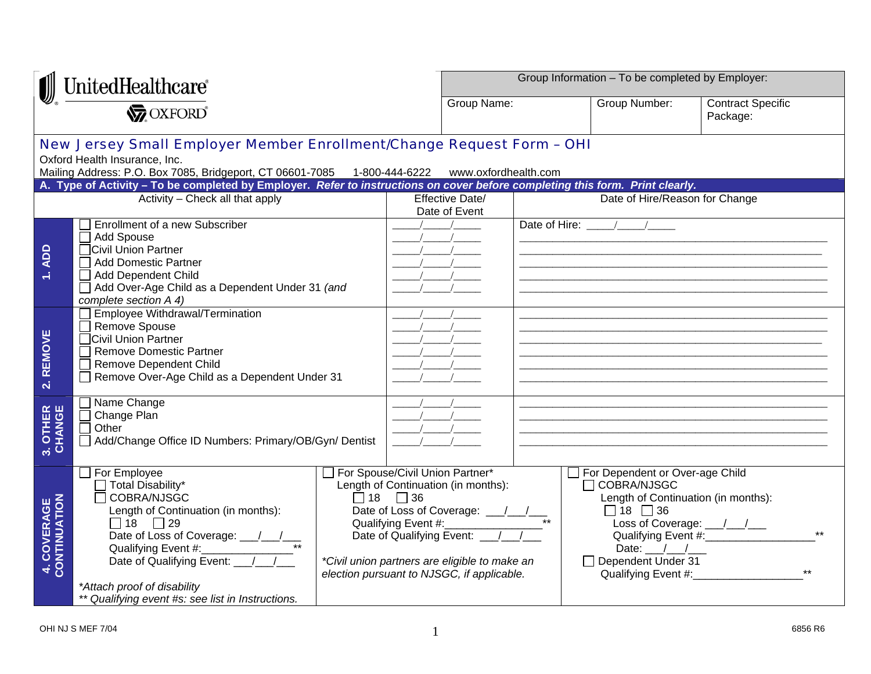| UnitedHealthcare                         |                                                                                                                                                                                                                                                                                                                                          |                                 |                     | Group Information - To be completed by Employer:                                                                                   |  |                                                                                                                                                     |                                                                                                     |
|------------------------------------------|------------------------------------------------------------------------------------------------------------------------------------------------------------------------------------------------------------------------------------------------------------------------------------------------------------------------------------------|---------------------------------|---------------------|------------------------------------------------------------------------------------------------------------------------------------|--|-----------------------------------------------------------------------------------------------------------------------------------------------------|-----------------------------------------------------------------------------------------------------|
|                                          |                                                                                                                                                                                                                                                                                                                                          |                                 |                     | Group Name:                                                                                                                        |  | Group Number:                                                                                                                                       | <b>Contract Specific</b><br>Package:                                                                |
|                                          | New Jersey Small Employer Member Enrollment/Change Request Form - OHI<br>Oxford Health Insurance, Inc.<br>Mailing Address: P.O. Box 7085, Bridgeport, CT 06601-7085 1-800-444-6222 www.oxfordhealth.com<br>A. Type of Activity - To be completed by Employer. Refer to instructions on cover before completing this form. Print clearly. |                                 |                     |                                                                                                                                    |  |                                                                                                                                                     |                                                                                                     |
|                                          | Activity - Check all that apply                                                                                                                                                                                                                                                                                                          |                                 |                     | Effective Date/<br>Date of Event                                                                                                   |  | Date of Hire/Reason for Change                                                                                                                      |                                                                                                     |
| 1. ADD                                   | Enrollment of a new Subscriber<br>Add Spouse<br>□Civil Union Partner<br>□ Add Domestic Partner<br>Add Dependent Child<br>Add Over-Age Child as a Dependent Under 31 (and<br>complete section A 4)                                                                                                                                        |                                 |                     |                                                                                                                                    |  | Date of Hire: / /                                                                                                                                   |                                                                                                     |
| <b>REMOVE</b><br>$\overline{\mathbf{N}}$ | Employee Withdrawal/Termination<br>Remove Spouse<br>Civil Union Partner<br>□ Remove Domestic Partner<br>Remove Dependent Child<br>Remove Over-Age Child as a Dependent Under 31                                                                                                                                                          |                                 |                     |                                                                                                                                    |  |                                                                                                                                                     |                                                                                                     |
| 3. OTHER<br>CHANGE                       | Name Change<br>Change Plan<br>Other<br>$\Box$<br>Add/Change Office ID Numbers: Primary/OB/Gyn/ Dentist                                                                                                                                                                                                                                   |                                 |                     | $\frac{1}{2}$ $\frac{1}{2}$                                                                                                        |  |                                                                                                                                                     |                                                                                                     |
| 4. COVERAGE<br>CONTINUATION              | $\Box$ For Employee<br>Total Disability*<br>COBRA/NJSGC<br>Length of Continuation (in months):<br>$\Box$ 18 $\Box$ 29<br>Date of Qualifying Event: __/__/__<br>*Attach proof of disability<br>** Qualifying event #s: see list in Instructions.                                                                                          | For Spouse/Civil Union Partner* | $\Box$ 18 $\Box$ 36 | Length of Continuation (in months):<br>*Civil union partners are eligible to make an<br>election pursuant to NJSGC, if applicable. |  | For Dependent or Over-age Child<br>□ COBRA/NJSGC<br>Length of Continuation (in months):<br>$\Box$ 18 $\Box$ 36<br>Date: $/$ /<br>Dependent Under 31 | Loss of Coverage: __/__/__<br>Qualifying Event #:____________<br>Qualifying Event #:_______________ |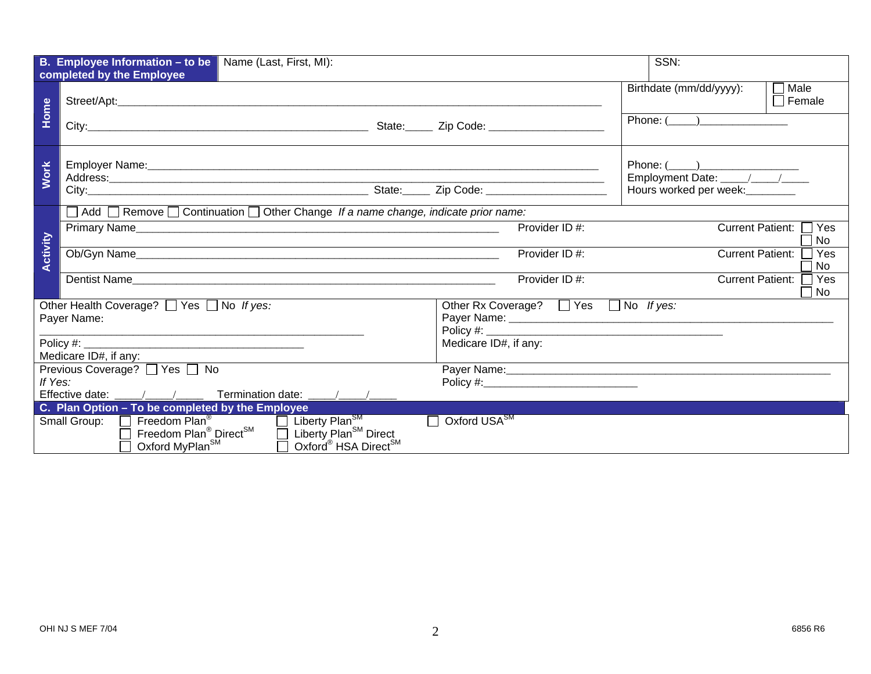|             | <b>B. Employee Information - to be</b> Name (Last, First, MI):<br>completed by the Employee                                                                                  |                                                     | SSN:                                                    |  |  |
|-------------|------------------------------------------------------------------------------------------------------------------------------------------------------------------------------|-----------------------------------------------------|---------------------------------------------------------|--|--|
| Home        |                                                                                                                                                                              |                                                     | $\Box$ Male<br>Birthdate (mm/dd/yyyy):<br>$\Box$ Female |  |  |
|             |                                                                                                                                                                              |                                                     | Phone: ( )                                              |  |  |
| <b>Work</b> |                                                                                                                                                                              | Phone: ( <u>U)</u><br>Employment Date: <u>U/U/U</u> |                                                         |  |  |
|             |                                                                                                                                                                              |                                                     | Hours worked per week: ________                         |  |  |
|             | □ Add □ Remove □ Continuation □ Other Change If a name change, indicate prior name:                                                                                          |                                                     |                                                         |  |  |
|             |                                                                                                                                                                              | Provider ID #:                                      | $\sqcap$ Yes<br>Current Patient:<br><b>No</b>           |  |  |
| Activity    |                                                                                                                                                                              | Provider ID#:                                       | <b>Current Patient:</b><br>Yes<br>No                    |  |  |
|             | Dentist Name                                                                                                                                                                 | Provider ID#:                                       | <b>Current Patient:</b><br>ヿ Yes<br>No                  |  |  |
|             | Other Health Coverage? 7 Yes 7 No If yes:                                                                                                                                    | Other Rx Coverage? □ Yes □ No If yes:               |                                                         |  |  |
|             | Payer Name:                                                                                                                                                                  |                                                     |                                                         |  |  |
|             | Policy #:                                                                                                                                                                    | Medicare ID#, if any:                               |                                                         |  |  |
|             | Medicare ID#, if any:                                                                                                                                                        |                                                     |                                                         |  |  |
|             | Previous Coverage? □ Yes □ No                                                                                                                                                |                                                     |                                                         |  |  |
| If Yes:     |                                                                                                                                                                              |                                                     |                                                         |  |  |
|             | Effective date: / /<br><b>Termination date:</b> / /                                                                                                                          |                                                     |                                                         |  |  |
|             | C. Plan Option - To be completed by the Employee                                                                                                                             |                                                     |                                                         |  |  |
|             | Small Group: <b>COM</b> Freedom Plan <sup>®</sup><br>Liberty Plan <sup>SM</sup><br>Oxford USA <sup>SM</sup><br>$\mathbf{I}$                                                  |                                                     |                                                         |  |  |
|             | Freedom Plan <sup>®</sup> Direct <sup>SM</sup><br>Liberty Plan <sup>SM</sup> Direct<br>$\Box$<br>Oxford MyPlan <sup>SM</sup><br>Oxford <sup>®</sup> HSA Direct <sup>SM</sup> |                                                     |                                                         |  |  |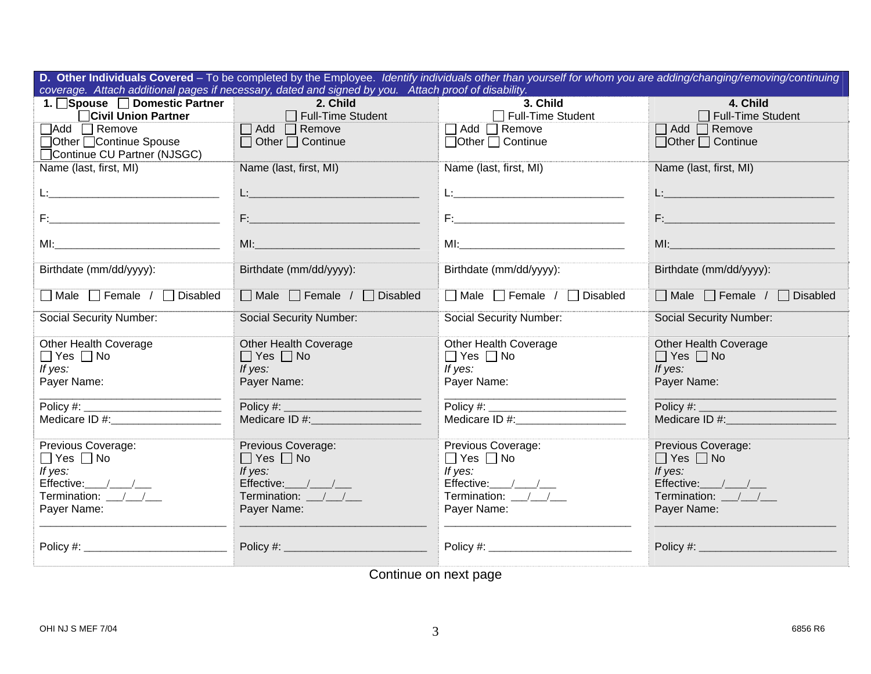| D. Other Individuals Covered - To be completed by the Employee. Identify individuals other than yourself for whom you are adding/changing/removing/continuing |                                              |                                                                                                                                                                                                                                |                                                                                                                |  |  |
|---------------------------------------------------------------------------------------------------------------------------------------------------------------|----------------------------------------------|--------------------------------------------------------------------------------------------------------------------------------------------------------------------------------------------------------------------------------|----------------------------------------------------------------------------------------------------------------|--|--|
| coverage. Attach additional pages if necessary, dated and signed by you. Attach proof of disability.                                                          |                                              |                                                                                                                                                                                                                                |                                                                                                                |  |  |
| 1. Spouse Domestic Partner                                                                                                                                    | 2. Child                                     | 3. Child                                                                                                                                                                                                                       | 4. Child                                                                                                       |  |  |
| Civil Union Partner                                                                                                                                           | Full-Time Student                            | Full-Time Student                                                                                                                                                                                                              | $\Box$ Full-Time Student                                                                                       |  |  |
| <b>NAdd</b> Nemove                                                                                                                                            | $\Box$ Add $\Box$ Remove                     | □ Add □ Remove                                                                                                                                                                                                                 | $\Box$ Add $\Box$ Remove                                                                                       |  |  |
| □Other □Continue Spouse                                                                                                                                       | $\Box$ Other $\Box$ Continue                 | $\Box$ Other $\Box$ Continue                                                                                                                                                                                                   | $\Box$ Other $\Box$ Continue                                                                                   |  |  |
| Continue CU Partner (NJSGC)                                                                                                                                   |                                              |                                                                                                                                                                                                                                |                                                                                                                |  |  |
| Name (last, first, MI)                                                                                                                                        | Name (last, first, MI)                       | Name (last, first, MI)                                                                                                                                                                                                         | Name (last, first, MI)                                                                                         |  |  |
|                                                                                                                                                               |                                              |                                                                                                                                                                                                                                |                                                                                                                |  |  |
|                                                                                                                                                               | <u>L:___________________________________</u> | <u>L:_____________________________</u> _                                                                                                                                                                                       | Le provincia de la construcción                                                                                |  |  |
|                                                                                                                                                               |                                              |                                                                                                                                                                                                                                |                                                                                                                |  |  |
|                                                                                                                                                               |                                              |                                                                                                                                                                                                                                | F: 2008 - 2008 - 2008 - 2008 - 2008 - 2019 - 2019 - 2019 - 2019 - 2019 - 2019 - 2019 - 2019 - 2019 - 2019 - 20 |  |  |
|                                                                                                                                                               |                                              | MI: North Communication of the Communication of the Communication of the Communication of the Communication of the Communication of the Communication of the Communication of the Communication of the Communication of the Co |                                                                                                                |  |  |
|                                                                                                                                                               |                                              |                                                                                                                                                                                                                                |                                                                                                                |  |  |
| Birthdate (mm/dd/yyyy):                                                                                                                                       | Birthdate (mm/dd/yyyy):                      | Birthdate (mm/dd/yyyy):                                                                                                                                                                                                        | Birthdate (mm/dd/yyyy):                                                                                        |  |  |
|                                                                                                                                                               |                                              |                                                                                                                                                                                                                                |                                                                                                                |  |  |
| ■ Male Female / Disabled                                                                                                                                      | □ Male □ Female / □ Disabled                 | □ Male □ Female / □ Disabled                                                                                                                                                                                                   | □ Male □ Female / □ Disabled                                                                                   |  |  |
|                                                                                                                                                               |                                              |                                                                                                                                                                                                                                |                                                                                                                |  |  |
| <b>Social Security Number:</b>                                                                                                                                | <b>Social Security Number:</b>               | <b>Social Security Number:</b>                                                                                                                                                                                                 | <b>Social Security Number:</b>                                                                                 |  |  |
|                                                                                                                                                               |                                              |                                                                                                                                                                                                                                |                                                                                                                |  |  |
| Other Health Coverage                                                                                                                                         | Other Health Coverage                        | Other Health Coverage                                                                                                                                                                                                          | <b>Other Health Coverage</b>                                                                                   |  |  |
| $\Box$ Yes $\Box$ No                                                                                                                                          | $\Box$ Yes $\Box$ No                         | $\Box$ Yes $\Box$ No                                                                                                                                                                                                           | $\Box$ Yes $\Box$ No                                                                                           |  |  |
| If yes:                                                                                                                                                       | If yes:                                      | If yes:                                                                                                                                                                                                                        | If yes:                                                                                                        |  |  |
| Payer Name:                                                                                                                                                   | Payer Name:                                  | Payer Name:                                                                                                                                                                                                                    | Payer Name:                                                                                                    |  |  |
|                                                                                                                                                               |                                              |                                                                                                                                                                                                                                |                                                                                                                |  |  |
|                                                                                                                                                               |                                              |                                                                                                                                                                                                                                |                                                                                                                |  |  |
| Medicare ID #: Medicare ID #:                                                                                                                                 | Medicare ID #: New York 2014                 | Medicare ID #:_____________________                                                                                                                                                                                            | Medicare ID #:                                                                                                 |  |  |
| Previous Coverage:                                                                                                                                            | Previous Coverage:                           | Previous Coverage:                                                                                                                                                                                                             | Previous Coverage:                                                                                             |  |  |
| $\Box$ Yes $\Box$ No                                                                                                                                          | $\Box$ Yes $\Box$ No                         | $\Box$ Yes $\Box$ No                                                                                                                                                                                                           | $\Box$ Yes $\Box$ No                                                                                           |  |  |
| If yes:                                                                                                                                                       | If yes:                                      | If yes:                                                                                                                                                                                                                        | If yes:                                                                                                        |  |  |
| Effective:___/___/___                                                                                                                                         | Effective: / /                               | Effective:___/___/___                                                                                                                                                                                                          | Effective: $\sqrt{2\pi}$                                                                                       |  |  |
|                                                                                                                                                               |                                              |                                                                                                                                                                                                                                |                                                                                                                |  |  |
| Termination: / /                                                                                                                                              | Termination: / /                             | Termination: $\frac{1}{2}$                                                                                                                                                                                                     | Termination: / /                                                                                               |  |  |
| Payer Name:                                                                                                                                                   | Payer Name:                                  | Payer Name:                                                                                                                                                                                                                    | Payer Name:                                                                                                    |  |  |
|                                                                                                                                                               |                                              |                                                                                                                                                                                                                                |                                                                                                                |  |  |
|                                                                                                                                                               |                                              |                                                                                                                                                                                                                                |                                                                                                                |  |  |
|                                                                                                                                                               |                                              |                                                                                                                                                                                                                                |                                                                                                                |  |  |

Continue on next page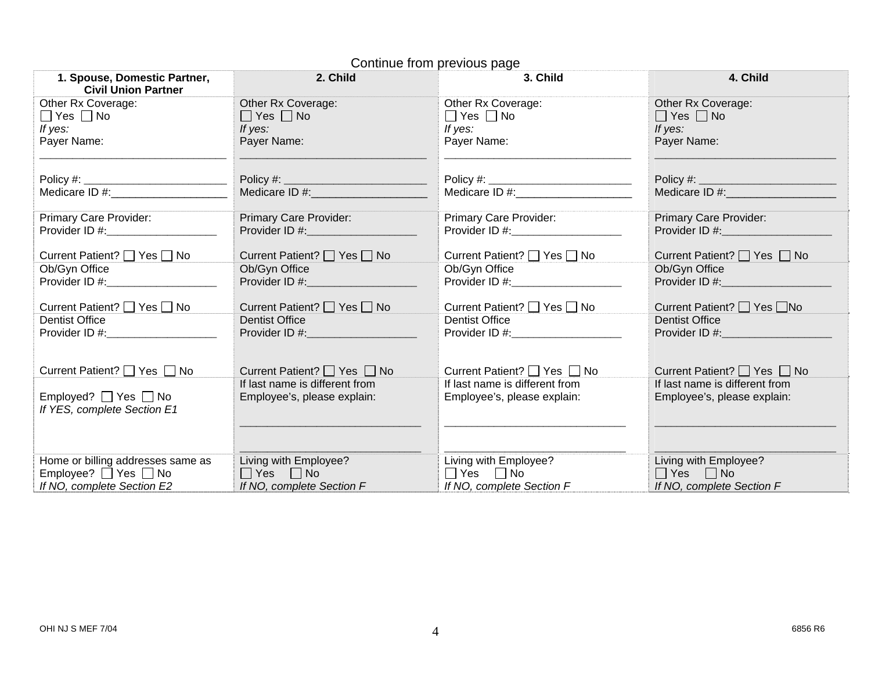| 1. Spouse, Domestic Partner,<br><b>Civil Union Partner</b> | 2. Child                                                                                                                                                                                                                            | 3. Child                                       | 4. Child                                                                                                                                                                                                                       |
|------------------------------------------------------------|-------------------------------------------------------------------------------------------------------------------------------------------------------------------------------------------------------------------------------------|------------------------------------------------|--------------------------------------------------------------------------------------------------------------------------------------------------------------------------------------------------------------------------------|
| Other Rx Coverage:                                         | Other Rx Coverage:                                                                                                                                                                                                                  | Other Rx Coverage:                             | Other Rx Coverage:                                                                                                                                                                                                             |
| $\Box$ Yes $\Box$ No                                       | $\Box$ Yes $\Box$ No                                                                                                                                                                                                                | $\Box$ Yes $\Box$ No                           | $\Box$ Yes $\Box$ No                                                                                                                                                                                                           |
| If yes:                                                    | If yes:                                                                                                                                                                                                                             | If yes:                                        | If yes:                                                                                                                                                                                                                        |
| Payer Name:                                                | Payer Name:                                                                                                                                                                                                                         | Payer Name:                                    | Payer Name:                                                                                                                                                                                                                    |
|                                                            |                                                                                                                                                                                                                                     |                                                |                                                                                                                                                                                                                                |
| Medicare ID #: Next Control of the Medicare ID #:          |                                                                                                                                                                                                                                     | Medicare ID #: Next Reserve the Medicare ID #: | Medicare ID #: \\cdot \\cdot \\cdot \\cdot \\cdot \\cdot \\cdot \\cdot \\cdot \\cdot \\cdot \\cdot \\cdot \\cdot \\cdot \\cdot \\cdot \\cdot \\cdot \\cdot \\cdot \\cdot \\cdot \\cdot \\cdot \\cdot \\cdot \\cdot \\cdot \\cd |
| Primary Care Provider:                                     | Primary Care Provider:                                                                                                                                                                                                              | Primary Care Provider:                         | <b>Primary Care Provider:</b>                                                                                                                                                                                                  |
| Provider ID #: Network and D #:                            |                                                                                                                                                                                                                                     |                                                |                                                                                                                                                                                                                                |
| Current Patient? □ Yes □ No                                | Current Patient? □ Yes □ No                                                                                                                                                                                                         | Current Patient? □ Yes □ No                    | Current Patient? □ Yes □ No                                                                                                                                                                                                    |
| Ob/Gyn Office                                              | Ob/Gyn Office                                                                                                                                                                                                                       | Ob/Gyn Office                                  | Ob/Gyn Office                                                                                                                                                                                                                  |
| Provider ID #: New York 2014                               | <b>Provider ID #:</b> And The Contract of the Contract of the Contract of the Contract of the Contract of the Contract of the Contract of the Contract of the Contract of the Contract of the Contract of the Contract of the Contr | Provider ID #: $\frac{25}{100}$                | Provider ID #:<br>and the control of the control of                                                                                                                                                                            |
| Current Patient? □ Yes □ No                                | Current Patient? $\Box$ Yes $\Box$ No                                                                                                                                                                                               | Current Patient? □ Yes □ No                    | Current Patient? 7 Yes No                                                                                                                                                                                                      |
| <b>Dentist Office</b>                                      | <b>Dentist Office</b>                                                                                                                                                                                                               | <b>Dentist Office</b>                          | <b>Dentist Office</b>                                                                                                                                                                                                          |
| Provider ID #: __________________                          |                                                                                                                                                                                                                                     | Provider ID #: Network and D #:                | Provider ID #: \\cdot \\cdot \\cdot \\cdot \\cdot \\cdot \\cdot \\cdot \\cdot \\cdot \\cdot \\cdot \\cdot \\cdot \\cdot \\cdot \\cdot \\cdot \\cdot \\cdot \\cdot \\cdot \\cdot \\cdot \\cdot \\cdot \\cdot \\cdot \\cdot \\cd |
|                                                            |                                                                                                                                                                                                                                     |                                                |                                                                                                                                                                                                                                |
| Current Patient? □ Yes □ No                                | Current Patient? □ Yes □ No                                                                                                                                                                                                         | Current Patient? □ Yes □ No                    | Current Patient? □ Yes □ No                                                                                                                                                                                                    |
|                                                            | If last name is different from                                                                                                                                                                                                      | If last name is different from                 | If last name is different from                                                                                                                                                                                                 |
| Employed? $\Box$ Yes $\Box$ No                             | Employee's, please explain:                                                                                                                                                                                                         | Employee's, please explain:                    | Employee's, please explain:                                                                                                                                                                                                    |
| If YES, complete Section E1                                |                                                                                                                                                                                                                                     |                                                |                                                                                                                                                                                                                                |
|                                                            |                                                                                                                                                                                                                                     |                                                |                                                                                                                                                                                                                                |
|                                                            |                                                                                                                                                                                                                                     |                                                |                                                                                                                                                                                                                                |
| Home or billing addresses same as                          | Living with Employee?                                                                                                                                                                                                               | Living with Employee?                          | Living with Employee?                                                                                                                                                                                                          |
| Employee? $\Box$ Yes $\Box$ No                             | $\Box$ Yes $\Box$ No                                                                                                                                                                                                                | $\Box$ Yes $\Box$ No                           | $\Box$ Yes $\Box$ No                                                                                                                                                                                                           |
| If NO, complete Section E2                                 | If NO, complete Section F                                                                                                                                                                                                           | If NO, complete Section F                      | If NO, complete Section F                                                                                                                                                                                                      |

## Continue from previous page